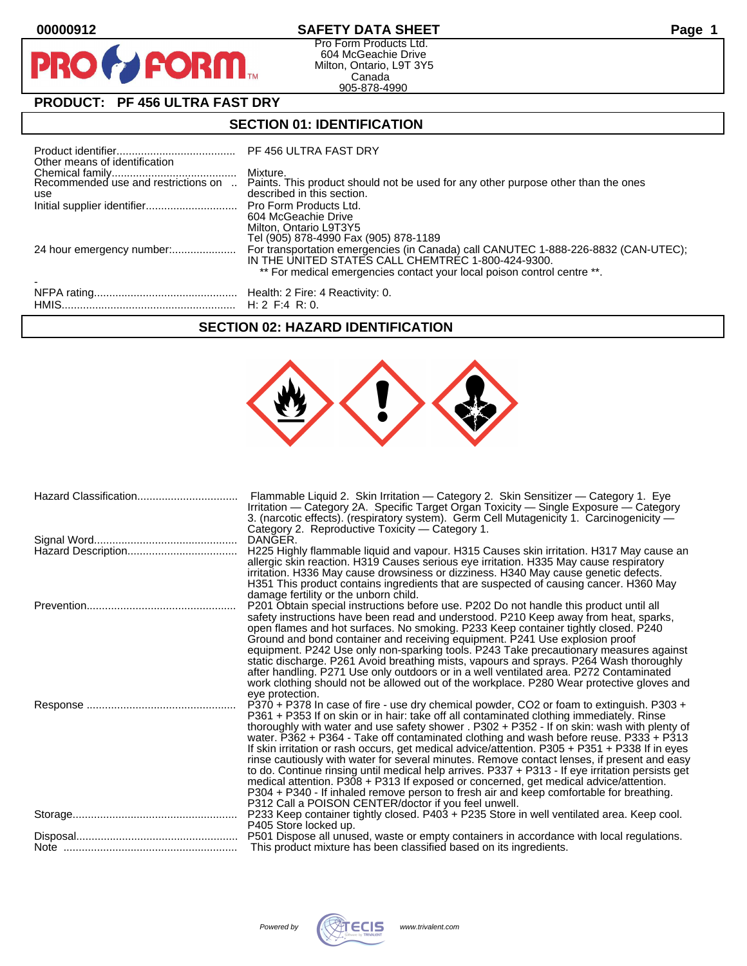**PRO** 

## **00000912 SAFETY DATA SHEET Page 1**

Pro Form Products Ltd. 604 McGeachie Drive Milton, Ontario, L9T 3Y5 Canada 905-878-4990

# **PRODUCT: PF 456 ULTRA FAST DRY**

**FORM** 

## **SECTION 01: IDENTIFICATION**

| Other means of identification       | PF 456 ULTRA FAST DRY                                                                                                         |
|-------------------------------------|-------------------------------------------------------------------------------------------------------------------------------|
| Recommended use and restrictions on | Mixture.<br>Paints. This product should not be used for any other purpose other than the ones                                 |
| use                                 | described in this section.                                                                                                    |
|                                     |                                                                                                                               |
|                                     | 604 McGeachie Drive                                                                                                           |
|                                     | Milton, Ontario L9T3Y5<br>Tel (905) 878-4990 Fax (905) 878-1189                                                               |
|                                     | IN THE UNITED STATES CALL CHEMTREC 1-800-424-9300.<br>** For medical emergencies contact your local poison control centre **. |
|                                     |                                                                                                                               |
|                                     |                                                                                                                               |
|                                     |                                                                                                                               |

### **SECTION 02: HAZARD IDENTIFICATION**

| Hazard Classification | Flammable Liquid 2. Skin Irritation — Category 2. Skin Sensitizer — Category 1. Eye<br>Irritation — Category 2A. Specific Target Organ Toxicity — Single Exposure — Category<br>3. (narcotic effects). (respiratory system). Germ Cell Mutagenicity 1. Carcinogenicity -<br>Category 2. Reproductive Toxicity - Category 1.                                                                                                                                                                                                                                                                                                                                                                                                                                                                                                                                                                                                    |
|-----------------------|--------------------------------------------------------------------------------------------------------------------------------------------------------------------------------------------------------------------------------------------------------------------------------------------------------------------------------------------------------------------------------------------------------------------------------------------------------------------------------------------------------------------------------------------------------------------------------------------------------------------------------------------------------------------------------------------------------------------------------------------------------------------------------------------------------------------------------------------------------------------------------------------------------------------------------|
|                       | DANGER.<br>H225 Highly flammable liquid and vapour. H315 Causes skin irritation. H317 May cause an<br>allergic skin reaction. H319 Causes serious eye irritation. H335 May cause respiratory<br>irritation. H336 May cause drowsiness or dizziness. H340 May cause genetic defects.<br>H351 This product contains ingredients that are suspected of causing cancer. H360 May                                                                                                                                                                                                                                                                                                                                                                                                                                                                                                                                                   |
|                       | damage fertility or the unborn child.<br>P201 Obtain special instructions before use. P202 Do not handle this product until all<br>safety instructions have been read and understood. P210 Keep away from heat, sparks,<br>open flames and hot surfaces. No smoking. P233 Keep container tightly closed. P240<br>Ground and bond container and receiving equipment. P241 Use explosion proof<br>equipment. P242 Use only non-sparking tools. P243 Take precautionary measures against<br>static discharge. P261 Avoid breathing mists, vapours and sprays. P264 Wash thoroughly<br>after handling. P271 Use only outdoors or in a well ventilated area. P272 Contaminated<br>work clothing should not be allowed out of the workplace. P280 Wear protective gloves and<br>eve protection.                                                                                                                                      |
|                       | P370 + P378 In case of fire - use dry chemical powder, CO2 or foam to extinguish. P303 +<br>P361 + P353 If on skin or in hair: take off all contaminated clothing immediately. Rinse<br>thoroughly with water and use safety shower . P302 + P352 - If on skin: wash with plenty of<br>water. P362 + P364 - Take off contaminated clothing and wash before reuse. P333 + P313<br>If skin irritation or rash occurs, get medical advice/attention. P305 + P351 + P338 If in eyes<br>rinse cautiously with water for several minutes. Remove contact lenses, if present and easy<br>to do. Continue rinsing until medical help arrives. P337 + P313 - If eye irritation persists get<br>medical attention. P308 + P313 If exposed or concerned, get medical advice/attention.<br>P304 + P340 - If inhaled remove person to fresh air and keep comfortable for breathing.<br>P312 Call a POISON CENTER/doctor if you feel unwell. |
|                       | P233 Keep container tightly closed. P403 + P235 Store in well ventilated area. Keep cool.<br>P405 Store locked up.<br>P501 Dispose all unused, waste or empty containers in accordance with local regulations.                                                                                                                                                                                                                                                                                                                                                                                                                                                                                                                                                                                                                                                                                                                 |
|                       | This product mixture has been classified based on its ingredients.                                                                                                                                                                                                                                                                                                                                                                                                                                                                                                                                                                                                                                                                                                                                                                                                                                                             |

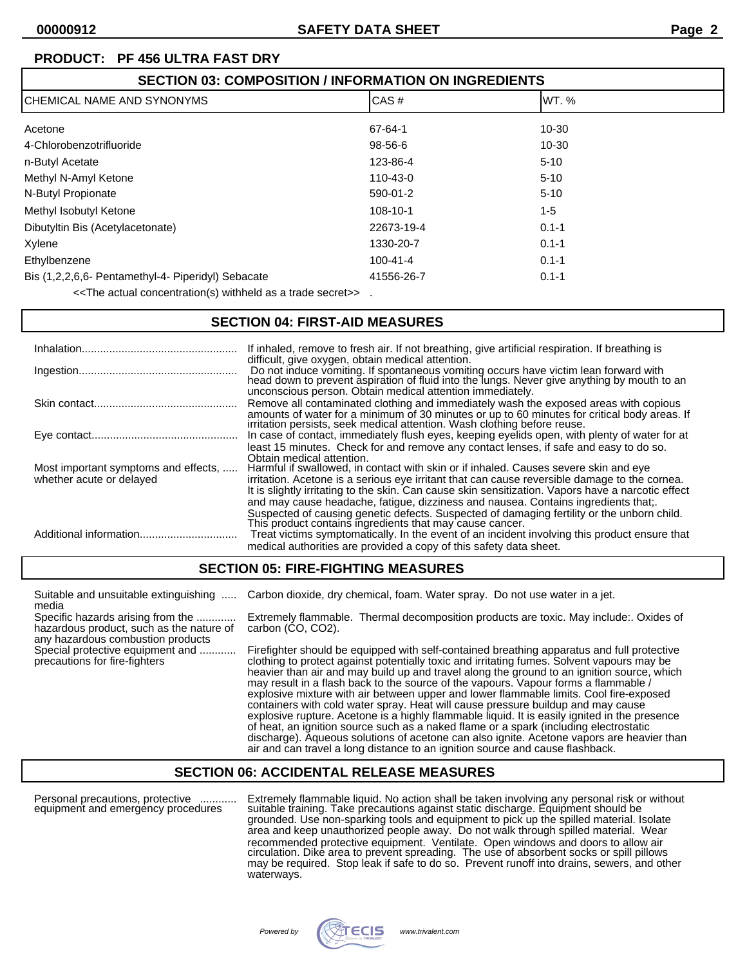| <b>SECTION 03: COMPOSITION / INFORMATION ON INGREDIENTS</b> |                |           |  |
|-------------------------------------------------------------|----------------|-----------|--|
| <b>ICHEMICAL NAME AND SYNONYMS</b>                          | CAS#           | IWT. %    |  |
| Acetone                                                     | 67-64-1        | $10 - 30$ |  |
| 4-Chlorobenzotrifluoride                                    | 98-56-6        | $10 - 30$ |  |
| n-Butyl Acetate                                             | 123-86-4       | $5 - 10$  |  |
| Methyl N-Amyl Ketone                                        | 110-43-0       | $5 - 10$  |  |
| N-Butyl Propionate                                          | 590-01-2       | $5 - 10$  |  |
| Methyl Isobutyl Ketone                                      | 108-10-1       | $1 - 5$   |  |
| Dibutyltin Bis (Acetylacetonate)                            | 22673-19-4     | $0.1 - 1$ |  |
| Xylene                                                      | 1330-20-7      | $0.1 - 1$ |  |
| Ethylbenzene                                                | $100 - 41 - 4$ | $0.1 - 1$ |  |
| Bis (1,2,2,6,6- Pentamethyl-4- Piperidyl) Sebacate          | 41556-26-7     | $0.1 - 1$ |  |
|                                                             |                |           |  |

<<The actual concentration(s) withheld as a trade secret>> .

### **SECTION 04: FIRST-AID MEASURES**

|                                                                  | If inhaled, remove to fresh air. If not breathing, give artificial respiration. If breathing is<br>difficult, give oxygen, obtain medical attention.                                                                                                                                                                                                                                                                                                                                                   |
|------------------------------------------------------------------|--------------------------------------------------------------------------------------------------------------------------------------------------------------------------------------------------------------------------------------------------------------------------------------------------------------------------------------------------------------------------------------------------------------------------------------------------------------------------------------------------------|
|                                                                  | Do not induce vomiting. If spontaneous vomiting occurs have victim lean forward with<br>head down to prevent aspiration of fluid into the lungs. Never give anything by mouth to an<br>unconscious person. Obtain medical attention immediately.                                                                                                                                                                                                                                                       |
|                                                                  | Remove all contaminated clothing and immediately wash the exposed areas with copious<br>amounts of water for a minimum of 30 minutes or up to 60 minutes for critical body areas. If irritation persists, seek medical attention. Wash clothing before reuse.                                                                                                                                                                                                                                          |
|                                                                  | In case of contact, immediately flush eyes, keeping eyelids open, with plenty of water for at                                                                                                                                                                                                                                                                                                                                                                                                          |
| Most important symptoms and effects,<br>whether acute or delayed | least 15 minutes. Check for and remove any contact lenses, if safe and easy to do so.<br>Obtain medical attention.<br>Harmful if swallowed, in contact with skin or if inhaled. Causes severe skin and eye<br>irritation. Acetone is a serious eye irritant that can cause reversible damage to the cornea.<br>It is slightly irritating to the skin. Can cause skin sensitization. Vapors have a narcotic effect<br>and may cause headache, fatique, dizziness and nausea. Contains ingredients that: |
|                                                                  | Suspected of causing genetic defects. Suspected of damaging fertility or the unborn child.<br>This product contains ingredients that may cause cancer.<br>Treat victims symptomatically. In the event of an incident involving this product ensure that<br>medical authorities are provided a copy of this safety data sheet.                                                                                                                                                                          |

#### **SECTION 05: FIRE-FIGHTING MEASURES**

| Suitable and unsuitable extinguishing                                                                                       | Carbon dioxide, dry chemical, foam. Water spray. Do not use water in a jet.                                                                                                                                                                                                                                                                                                                                                                                                                                                                                                                                                                                                                                                                                                                                                                                                                                                         |
|-----------------------------------------------------------------------------------------------------------------------------|-------------------------------------------------------------------------------------------------------------------------------------------------------------------------------------------------------------------------------------------------------------------------------------------------------------------------------------------------------------------------------------------------------------------------------------------------------------------------------------------------------------------------------------------------------------------------------------------------------------------------------------------------------------------------------------------------------------------------------------------------------------------------------------------------------------------------------------------------------------------------------------------------------------------------------------|
| media<br>Specific hazards arising from the<br>hazardous product, such as the nature of<br>any hazardous combustion products | Extremely flammable. Thermal decomposition products are toxic. May include: Oxides of<br>carbon (CO, CO2).                                                                                                                                                                                                                                                                                                                                                                                                                                                                                                                                                                                                                                                                                                                                                                                                                          |
| Special protective equipment and<br>precautions for fire-fighters                                                           | Firefighter should be equipped with self-contained breathing apparatus and full protective<br>clothing to protect against potentially toxic and irritating fumes. Solvent vapours may be<br>heavier than air and may build up and travel along the ground to an ignition source, which<br>may result in a flash back to the source of the vapours. Vapour forms a flammable /<br>explosive mixture with air between upper and lower flammable limits. Cool fire-exposed<br>containers with cold water spray. Heat will cause pressure buildup and may cause<br>explosive rupture. Acetone is a highly flammable liquid. It is easily ignited in the presence<br>of heat, an ignition source such as a naked flame or a spark (including electrostatic<br>discharge). Aqueous solutions of acetone can also ignite. Acetone vapors are heavier than<br>air and can travel a long distance to an ignition source and cause flashback. |

### **SECTION 06: ACCIDENTAL RELEASE MEASURES**

Personal precautions, protective ............ Extremely flammable liquid. No action shall be taken involving any personal risk or without equipment and emergency procedures suitable training. Take precautions against static discharge. Equipment should be grounded. Use non-sparking tools and equipment to pick up the spilled material. Isolate area and keep unauthorized people away. Do not walk through spilled material. Wear recommended protective equipment. Ventilate. Open windows and doors to allow air circulation. Dike area to prevent spreading. The use of absorbent socks or spill pillows may be required. Stop leak if safe to do so. Prevent runoff into drains, sewers, and other waterways.

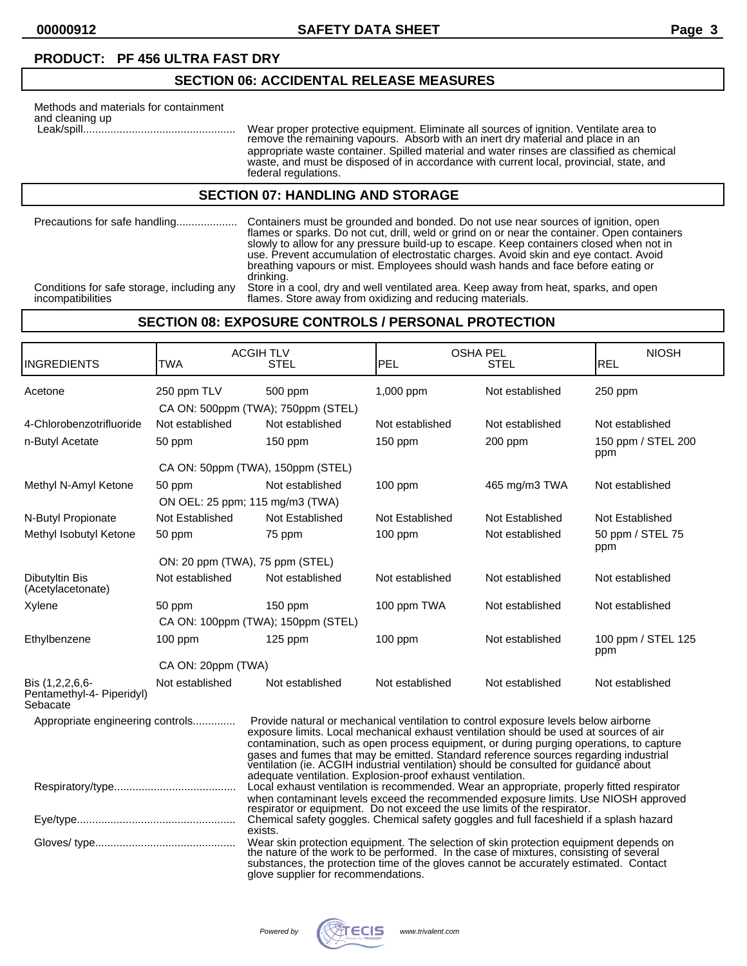## **SECTION 06: ACCIDENTAL RELEASE MEASURES**

| Methods and materials for containment<br>and cleaning up |                                                                                                                                                  |
|----------------------------------------------------------|--------------------------------------------------------------------------------------------------------------------------------------------------|
|                                                          | Wear proper protective equipment.<br>remove the remaining vapours. Ab<br>appropriate waste container. Spille<br>waste and must be disposed of in |

 Leak/spill.................................................. Wear proper protective equipment. Eliminate all sources of ignition. Ventilate area to remove the remaining vapours. Absorb with an inert dry material and place in an d material and water rinses are classified as chemical waste, and must be disposed of in accordance with current local, provincial, state, and federal regulations.

#### **SECTION 07: HANDLING AND STORAGE**

| Precautions for safe handling              | Containers must be grounded and bonded. Do not use near sources of ignition, open<br>flames or sparks. Do not cut, drill, weld or grind on or near the container. Open containers<br>slowly to allow for any pressure build-up to escape. Keep containers closed when not in<br>use. Prevent accumulation of electrostatic charges. Avoid skin and eye contact. Avoid<br>breathing vapours or mist. Employees should wash hands and face before eating or<br>drinking. |
|--------------------------------------------|------------------------------------------------------------------------------------------------------------------------------------------------------------------------------------------------------------------------------------------------------------------------------------------------------------------------------------------------------------------------------------------------------------------------------------------------------------------------|
| Conditions for safe storage, including any | Store in a cool, dry and well ventilated area. Keep away from heat, sparks, and open                                                                                                                                                                                                                                                                                                                                                                                   |
| incompatibilities                          | flames. Store away from oxidizing and reducing materials.                                                                                                                                                                                                                                                                                                                                                                                                              |

## **SECTION 08: EXPOSURE CONTROLS / PERSONAL PROTECTION**

| INGREDIENTS                                              | <b>TWA</b>         | <b>OSHA PEL</b><br><b>ACGIHTLV</b><br>PEL<br><b>STEL</b><br>STEL                                                                                                                                                                                                                                                                                                                                                                                                                                                     |                                                                                                                                                                                                                                                                                                              | <b>NIOSH</b><br><b>REL</b> |                           |
|----------------------------------------------------------|--------------------|----------------------------------------------------------------------------------------------------------------------------------------------------------------------------------------------------------------------------------------------------------------------------------------------------------------------------------------------------------------------------------------------------------------------------------------------------------------------------------------------------------------------|--------------------------------------------------------------------------------------------------------------------------------------------------------------------------------------------------------------------------------------------------------------------------------------------------------------|----------------------------|---------------------------|
| Acetone                                                  | 250 ppm TLV        | 500 ppm<br>CA ON: 500ppm (TWA); 750ppm (STEL)                                                                                                                                                                                                                                                                                                                                                                                                                                                                        | 1,000 ppm                                                                                                                                                                                                                                                                                                    | Not established            | 250 ppm                   |
| 4-Chlorobenzotrifluoride                                 | Not established    | Not established                                                                                                                                                                                                                                                                                                                                                                                                                                                                                                      | Not established                                                                                                                                                                                                                                                                                              | Not established            | Not established           |
| n-Butyl Acetate                                          | 50 ppm             | $150$ ppm                                                                                                                                                                                                                                                                                                                                                                                                                                                                                                            | $150$ ppm                                                                                                                                                                                                                                                                                                    | 200 ppm                    | 150 ppm / STEL 200<br>ppm |
|                                                          |                    | CA ON: 50ppm (TWA), 150ppm (STEL)                                                                                                                                                                                                                                                                                                                                                                                                                                                                                    |                                                                                                                                                                                                                                                                                                              |                            |                           |
| Methyl N-Amyl Ketone                                     | 50 ppm             | Not established                                                                                                                                                                                                                                                                                                                                                                                                                                                                                                      | $100$ ppm                                                                                                                                                                                                                                                                                                    | 465 mg/m3 TWA              | Not established           |
|                                                          |                    | ON OEL: 25 ppm; 115 mg/m3 (TWA)                                                                                                                                                                                                                                                                                                                                                                                                                                                                                      |                                                                                                                                                                                                                                                                                                              |                            |                           |
| N-Butyl Propionate                                       | Not Established    | Not Established                                                                                                                                                                                                                                                                                                                                                                                                                                                                                                      | Not Established                                                                                                                                                                                                                                                                                              | Not Established            | Not Established           |
| Methyl Isobutyl Ketone                                   | 50 ppm             | 75 ppm                                                                                                                                                                                                                                                                                                                                                                                                                                                                                                               | $100$ ppm                                                                                                                                                                                                                                                                                                    | Not established            | 50 ppm / STEL 75<br>ppm   |
|                                                          |                    | ON: 20 ppm (TWA), 75 ppm (STEL)                                                                                                                                                                                                                                                                                                                                                                                                                                                                                      |                                                                                                                                                                                                                                                                                                              |                            |                           |
| Dibutyltin Bis<br>(Acetylacetonate)                      | Not established    | Not established                                                                                                                                                                                                                                                                                                                                                                                                                                                                                                      | Not established                                                                                                                                                                                                                                                                                              | Not established            | Not established           |
| Xylene                                                   | 50 ppm             | $150$ ppm                                                                                                                                                                                                                                                                                                                                                                                                                                                                                                            | 100 ppm TWA                                                                                                                                                                                                                                                                                                  | Not established            | Not established           |
|                                                          |                    | CA ON: 100ppm (TWA); 150ppm (STEL)                                                                                                                                                                                                                                                                                                                                                                                                                                                                                   |                                                                                                                                                                                                                                                                                                              |                            |                           |
| Ethylbenzene                                             | $100$ ppm          | $125$ ppm                                                                                                                                                                                                                                                                                                                                                                                                                                                                                                            | $100$ ppm                                                                                                                                                                                                                                                                                                    | Not established            | 100 ppm / STEL 125<br>ppm |
|                                                          | CA ON: 20ppm (TWA) |                                                                                                                                                                                                                                                                                                                                                                                                                                                                                                                      |                                                                                                                                                                                                                                                                                                              |                            |                           |
| Bis (1,2,2,6,6-<br>Pentamethyl-4- Piperidyl)<br>Sebacate | Not established    | Not established                                                                                                                                                                                                                                                                                                                                                                                                                                                                                                      | Not established                                                                                                                                                                                                                                                                                              | Not established            | Not established           |
| Appropriate engineering controls                         |                    | Provide natural or mechanical ventilation to control exposure levels below airborne<br>exposure limits. Local mechanical exhaust ventilation should be used at sources of air<br>contamination, such as open process equipment, or during purging operations, to capture<br>gases and fumes that may be emitted. Standard reference sources regarding industrial ventilation (ie. ACGIH industrial ventilation) should be consulted for guidance about<br>adequate ventilation. Explosion-proof exhaust ventilation. |                                                                                                                                                                                                                                                                                                              |                            |                           |
|                                                          |                    | Local exhaust ventilation is recommended. Wear an appropriate, properly fitted respirator<br>when contaminant levels exceed the recommended exposure limits. Use NIOSH approved                                                                                                                                                                                                                                                                                                                                      |                                                                                                                                                                                                                                                                                                              |                            |                           |
|                                                          |                    | respirator or equipment. Do not exceed the use limits of the respirator.<br>Chemical safety goggles. Chemical safety goggles and full faceshield if a splash hazard<br>exists.                                                                                                                                                                                                                                                                                                                                       |                                                                                                                                                                                                                                                                                                              |                            |                           |
|                                                          |                    |                                                                                                                                                                                                                                                                                                                                                                                                                                                                                                                      | Wear skin protection equipment. The selection of skin protection equipment depends on the nature of the work to be performed. In the case of mixtures, consisting of several<br>substances, the protection time of the gloves cannot be accurately estimated. Contact<br>glove supplier for recommendations. |                            |                           |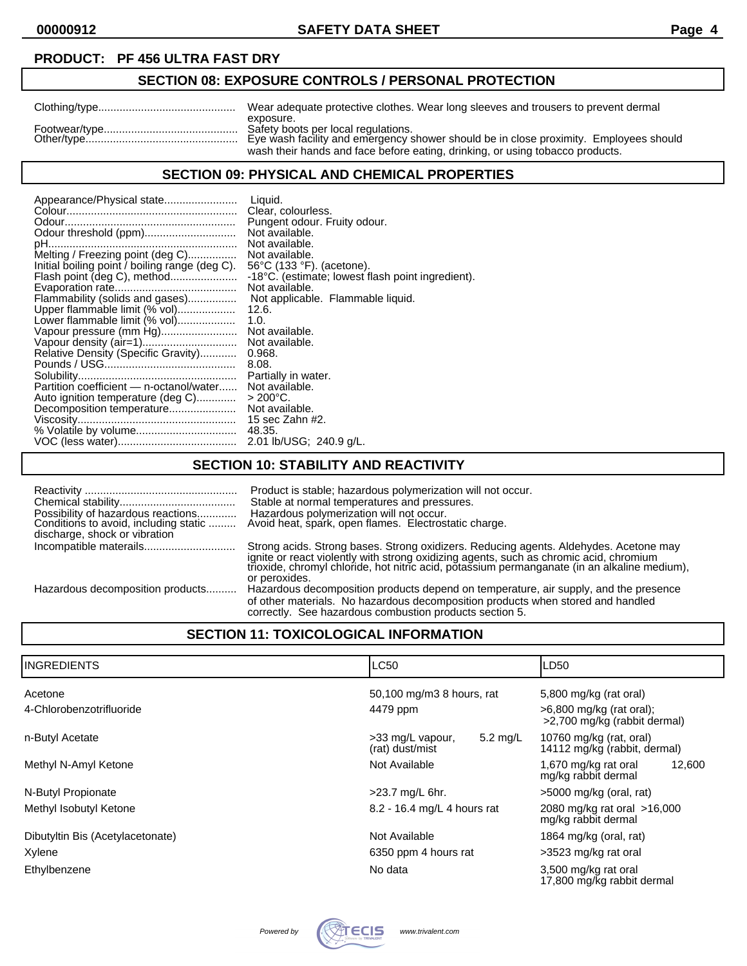## **SECTION 08: EXPOSURE CONTROLS / PERSONAL PROTECTION**

| Wear adequate protective clothes. Wear long sleeves and trousers to prevent dermal                                                        |
|-------------------------------------------------------------------------------------------------------------------------------------------|
| exposure.<br>Safety boots per local regulations.<br>Eye wash facility and emergency shower should be in close proximity. Employees should |
| wash their hands and face before eating, drinking, or using tobacco products.                                                             |

### **SECTION 09: PHYSICAL AND CHEMICAL PROPERTIES**

| Appearance/Physical state<br>Odour threshold (ppm)                                 | Liquid.<br>Clear, colourless.<br>Pungent odour. Fruity odour.<br>Not available.<br>Not available.                    |
|------------------------------------------------------------------------------------|----------------------------------------------------------------------------------------------------------------------|
| Melting / Freezing point (deg C)<br>Initial boiling point / boiling range (deg C). | Not available.<br>$56^{\circ}$ C (133 $^{\circ}$ F). (acetone).<br>-18°C. (estimate; lowest flash point ingredient). |
|                                                                                    | Not available.                                                                                                       |
| Flammability (solids and gases)                                                    | Not applicable. Flammable liquid.                                                                                    |
| Upper flammable limit (% vol)                                                      | 12.6.                                                                                                                |
| Lower flammable limit (% vol)                                                      | 1.0.                                                                                                                 |
| Vapour pressure (mm Hg)                                                            | Not available.                                                                                                       |
|                                                                                    | Not available.                                                                                                       |
| Relative Density (Specific Gravity)                                                | 0.968.                                                                                                               |
|                                                                                    | 8.08.                                                                                                                |
|                                                                                    | Partially in water.                                                                                                  |
| Partition coefficient - n-octanol/water                                            | Not available.                                                                                                       |
| Auto ignition temperature (deg C)                                                  | $>$ 200°C.                                                                                                           |
| Decomposition temperature                                                          | Not available.                                                                                                       |
|                                                                                    | 15 sec Zahn #2.                                                                                                      |
|                                                                                    | 48.35.                                                                                                               |
|                                                                                    | 2.01 lb/USG; 240.9 g/L.                                                                                              |

## **SECTION 10: STABILITY AND REACTIVITY**

| Possibility of hazardous reactions<br>Conditions to avoid, including static<br>discharge, shock or vibration | Product is stable; hazardous polymerization will not occur.<br>Stable at normal temperatures and pressures.<br>Hazardous polymerization will not occur.<br>Avoid heat, spark, open flames. Electrostatic charge.                                                                                 |
|--------------------------------------------------------------------------------------------------------------|--------------------------------------------------------------------------------------------------------------------------------------------------------------------------------------------------------------------------------------------------------------------------------------------------|
|                                                                                                              | Strong acids. Strong bases. Strong oxidizers. Reducing agents. Aldehydes. Acetone may<br>ignite or react violently with strong oxidizing agents, such as chromic acid, chromium<br>trioxide, chromyl chloride, hot nitric acid, potassium permanganate (in an alkaline medium),<br>or peroxides. |
| Hazardous decomposition products                                                                             | Hazardous decomposition products depend on temperature, air supply, and the presence<br>of other materials. No hazardous decomposition products when stored and handled<br>correctly. See hazardous combustion products section 5.                                                               |

## **SECTION 11: TOXICOLOGICAL INFORMATION**

| IINGREDIENTS                     | <b>LC50</b>                                     | LD50                                                       |  |
|----------------------------------|-------------------------------------------------|------------------------------------------------------------|--|
| Acetone                          | 50,100 mg/m3 8 hours, rat                       | 5,800 mg/kg (rat oral)                                     |  |
| 4-Chlorobenzotrifluoride         | 4479 ppm                                        | $>6,800$ mg/kg (rat oral);<br>>2,700 mg/kg (rabbit dermal) |  |
| n-Butyl Acetate                  | 5.2 mg/L<br>>33 mg/L vapour,<br>(rat) dust/mist | 10760 mg/kg (rat, oral)<br>14112 mg/kg (rabbit, dermal)    |  |
| Methyl N-Amyl Ketone             | Not Available                                   | 1,670 mg/kg rat oral<br>12,600<br>mg/kg rabbit dermal      |  |
| N-Butyl Propionate               | >23.7 mg/L 6hr.                                 | >5000 mg/kg (oral, rat)                                    |  |
| Methyl Isobutyl Ketone           | 8.2 - 16.4 mg/L 4 hours rat                     | 2080 mg/kg rat oral >16,000<br>mg/kg rabbit dermal         |  |
| Dibutyltin Bis (Acetylacetonate) | Not Available                                   | 1864 mg/kg (oral, rat)                                     |  |
| Xylene                           | 6350 ppm 4 hours rat                            | >3523 mg/kg rat oral                                       |  |
| Ethylbenzene                     | No data                                         | 3,500 mg/kg rat oral<br>17,800 mg/kg rabbit dermal         |  |

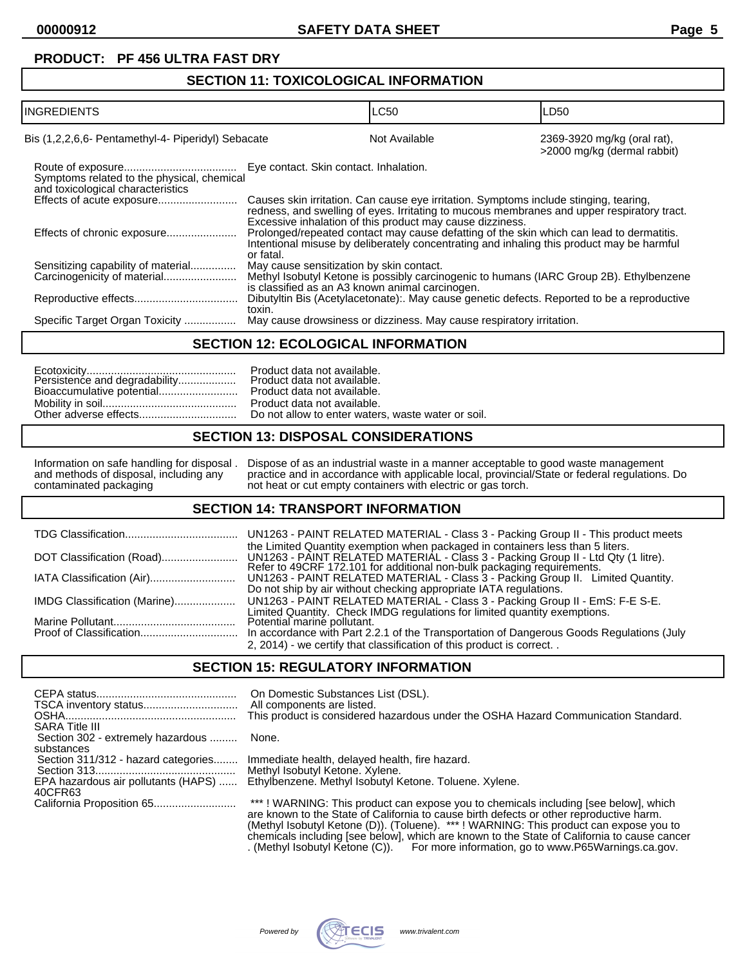#### **SECTION 11: TOXICOLOGICAL INFORMATION**

| <b>INGREDIENTS</b>                                                              |                                                 | <b>LC50</b>                                                                                                                                                                                                                                      | LD50                                                       |
|---------------------------------------------------------------------------------|-------------------------------------------------|--------------------------------------------------------------------------------------------------------------------------------------------------------------------------------------------------------------------------------------------------|------------------------------------------------------------|
| Bis (1,2,2,6,6- Pentamethyl-4- Piperidyl) Sebacate                              |                                                 | Not Available                                                                                                                                                                                                                                    | 2369-3920 mg/kg (oral rat),<br>>2000 mg/kg (dermal rabbit) |
| Symptoms related to the physical, chemical<br>and toxicological characteristics | Eye contact. Skin contact. Inhalation.          |                                                                                                                                                                                                                                                  |                                                            |
| Effects of acute exposure                                                       |                                                 | Causes skin irritation. Can cause eye irritation. Symptoms include stinging, tearing,<br>redness, and swelling of eyes. Irritating to mucous membranes and upper respiratory tract.<br>Excessive inhalation of this product may cause dizziness. |                                                            |
| Effects of chronic exposure                                                     | or fatal.                                       | Prolonged/repeated contact may cause defatting of the skin which can lead to dermatitis.<br>Intentional misuse by deliberately concentrating and inhaling this product may be harmful                                                            |                                                            |
| Sensitizing capability of material                                              | May cause sensitization by skin contact.        |                                                                                                                                                                                                                                                  |                                                            |
|                                                                                 | is classified as an A3 known animal carcinogen. | Methyl Isobutyl Ketone is possibly carcinogenic to humans (IARC Group 2B). Ethylbenzene                                                                                                                                                          |                                                            |
|                                                                                 | toxin.                                          | Dibutyltin Bis (Acetylacetonate):. May cause genetic defects. Reported to be a reproductive                                                                                                                                                      |                                                            |
| Specific Target Organ Toxicity                                                  |                                                 | May cause drowsiness or dizziness. May cause respiratory irritation.                                                                                                                                                                             |                                                            |

#### **SECTION 12: ECOLOGICAL INFORMATION**

## **SECTION 13: DISPOSAL CONSIDERATIONS**

#### Information on safe handling for disposal . Dispose of as an industrial waste in a manner acceptable to good waste management and methods of disposal, including any practice and in accordance with applicable local, provincial/State or federal regulations. Do contaminated packaging not heat or cut empty containers with electric or gas torch.

#### **SECTION 14: TRANSPORT INFORMATION**

|                              | UN1263 - PAINT RELATED MATERIAL - Class 3 - Packing Group II - This product meets                                                                                                                                                             |
|------------------------------|-----------------------------------------------------------------------------------------------------------------------------------------------------------------------------------------------------------------------------------------------|
|                              | the Limited Quantity exemption when packaged in containers less than 5 liters.<br>UN1263 - PAINT RELATED MATERIAL - Class 3 - Packing Group II - Ltd Qty (1 litre).<br>Refer to 49CRF 172.101 for additional non-bulk packaging requirements. |
|                              | UN1263 - PAINT RELATED MATERIAL - Class 3 - Packing Group II. Limited Quantity.                                                                                                                                                               |
|                              | Do not ship by air without checking appropriate IATA regulations.                                                                                                                                                                             |
| IMDG Classification (Marine) | UN1263 - PAINT RELATED MATERIAL - Class 3 - Packing Group II - EmS: F-E S-E.                                                                                                                                                                  |
|                              | Limited Quantity. Check IMDG regulations for limited quantity exemptions.                                                                                                                                                                     |
|                              | Potential marine pollutant.                                                                                                                                                                                                                   |
|                              | In accordance with Part 2.2.1 of the Transportation of Dangerous Goods Regulations (July                                                                                                                                                      |
|                              | 2, 2014) - we certify that classification of this product is correct                                                                                                                                                                          |

#### **SECTION 15: REGULATORY INFORMATION**

|                                                            | On Domestic Substances List (DSL).<br>All components are listed.                                                                                                              |
|------------------------------------------------------------|-------------------------------------------------------------------------------------------------------------------------------------------------------------------------------|
|                                                            | This product is considered hazardous under the OSHA Hazard Communication Standard.                                                                                            |
| <b>SARA Title III</b><br>Section 302 - extremely hazardous | None.                                                                                                                                                                         |
| substances<br>Section 311/312 - hazard categories          | Immediate health, delayed health, fire hazard.                                                                                                                                |
|                                                            | Methyl Isobutyl Ketone. Xylene.                                                                                                                                               |
| EPA hazardous air pollutants (HAPS)<br>40CFR63             | Ethylbenzene. Methyl Isobutyl Ketone. Toluene. Xylene.                                                                                                                        |
|                                                            | ***! WARNING: This product can expose you to chemicals including [see below], which<br>are known to the Ctate of Colifornia to couse hirth defeate or other repreductive horm |

are known to the State of California to cause birth defects or other reproductive harm. (Methyl Isobutyl Ketone (D)). (Toluene). \*\*\* ! WARNING: This product can expose you to chemicals including [see below], which are known to the State of California to cause cancer . (Methyl Isobutyl Ketone (C)). For more information, go to www.P65Warnings.ca.gov.